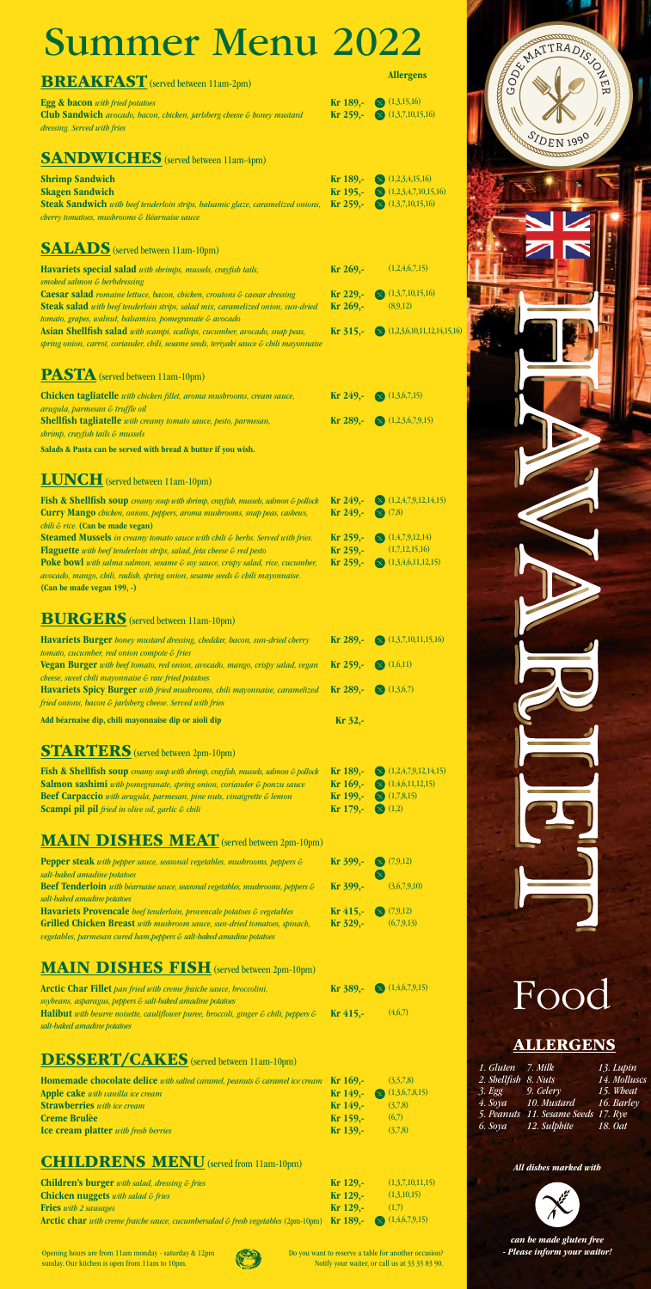

*can be made gluten free - Please inform your waitor!*

#### *All dishes marked with*



### Food

#### **ALLERGENS**

| 1. Gluten 7. Milk    |                                     | 13. Lupin    |
|----------------------|-------------------------------------|--------------|
| 2. Shellfish 8. Nuts |                                     | 14. Molluscs |
| 3. Egg               | 9. Celery                           | 15. Wheat    |
| 4. Sova              | 10. Mustard                         | 16. Barley   |
|                      | 5. Peanuts 11. Sesame Seeds 17. Rye |              |
|                      | 6. Soya 12. Sulphite                | 18. Oat      |

 $(7,9,12)$ (6,7,9,13)

 $\infty$ 

| <u>CHILILIUM</u><br><b>TATION</b>                                                                                                                                                                                                                                                                 |                                                 |                                                                                                           |
|---------------------------------------------------------------------------------------------------------------------------------------------------------------------------------------------------------------------------------------------------------------------------------------------------|-------------------------------------------------|-----------------------------------------------------------------------------------------------------------|
| <b>BREAKFAST</b> (served between 11am-2pm)                                                                                                                                                                                                                                                        |                                                 | <b>Allergens</b>                                                                                          |
| <b>Egg &amp; bacon</b> with fried potatoes<br>Club Sandwich avocado, bacon, chicken, jarlsberg cheese & honey mustard<br>dressing. Served with fries                                                                                                                                              | Kr 189,-<br>Kr 259,-                            | $\otimes$ (1,3,15,16)<br>$\otimes$ (1,3,7,10,15,16)                                                       |
| <b>SANDWICHES</b> (served between 11am-4pm)                                                                                                                                                                                                                                                       |                                                 |                                                                                                           |
| <b>Shrimp Sandwich</b><br><b>Skagen Sandwich</b><br>Steak Sandwich with beef tenderloin strips, balsamic glaze, caramelized onions,<br>cherry tomatoes, mushrooms & Béarnaise sauce                                                                                                               | $Kr 189, -$<br>$Kr 195, -$<br>$Kr 259, -$       | $\bigotimes$ (1,2,3,4,15,16)<br>$\bigotimes$ (1,2,3,4,7,10,15,16)<br>$\bigotimes$ (1,3,7,10,15,16)        |
| <b>SALADS</b> (served between 11am-10pm)                                                                                                                                                                                                                                                          |                                                 |                                                                                                           |
| Havariets special salad with shrimps, mussels, crayfish tails,<br>smoked salmon & berbdressing                                                                                                                                                                                                    | Kr 269,-                                        | (1,2,4,6,7,15)                                                                                            |
| Caesar salad romaine lettuce, bacon, chicken, croutons & caesar dressing<br><b>Steak salad</b> with beef tenderloin strips, salad mix, caramelized onion, sun-dried<br>tomato, grapes, walnut, balsamico, pomegranate & avocado                                                                   | Kr 229,-<br>Kr 269,-                            | (1,3,7,10,15,16)<br>(8,9,12)                                                                              |
| Asian Shellfish salad with scampi, scallops, cucumber, avocado, snap peas,<br>spring onion, carrot, coriander, chili, sesame seeds, teriyaki sauce & chili mayonnaise                                                                                                                             | Kr 315,-                                        | $\bigotimes$ (1,2,3,6,10,11,12,14,15,16)                                                                  |
| <b>PASTA</b> (served between 11am-10pm)                                                                                                                                                                                                                                                           |                                                 |                                                                                                           |
| Chicken tagliatelle with chicken fillet, aroma mushrooms, cream sauce,<br>arugula, parmesan & truffle oil                                                                                                                                                                                         | Kr 249,-                                        | $\bigotimes$ (1,3,6,7,15)                                                                                 |
| <b>Shellfish tagliatelle</b> with creamy tomato sauce, pesto, parmesan,<br>shrimp, crayfish tails & mussels                                                                                                                                                                                       | Kr 289,-                                        | $\otimes$ (1,2,3,6,7,9,15)                                                                                |
| Salads & Pasta can be served with bread & butter if you wish.                                                                                                                                                                                                                                     |                                                 |                                                                                                           |
| <b>LUNCH</b> (served between 11am-10pm)                                                                                                                                                                                                                                                           |                                                 |                                                                                                           |
| Fish & Shellfish soup creamy soup with shrimp, crayfish, mussels, salmon & pollock<br><b>Curry Mango</b> chicken, onions, peppers, aroma mushrooms, snap peas, cashews,<br><i>chili &amp; rice.</i> (Can be made vegan)                                                                           | $Kr 249, -$<br>Kr 249,-                         | $\bigotimes$ (1,2,4,7,9,12,14,15)<br>$\infty$ (7,8)                                                       |
| Steamed Mussels in creamy tomato sauce with chili & herbs. Served with fries.<br><b>Flaguette</b> with beef tenderloin strips, salad, feta cheese $\varepsilon$ red pesto                                                                                                                         | Kr 259,-<br>Kr 259,-                            | $\bigotimes$ (1,4,7,9,12,14)<br>(1,7,12,15,16)                                                            |
| Poke bowl with salma salmon, sesame & soy sauce, crispy salad, rice, cucumber,<br>avocado, mango, chili, radish, spring onion, sesame seeds & chili mayonnaise.<br>(Can be made vegan 199, -)                                                                                                     | Kr 259,-                                        | $\bigotimes$ (1,3,4,6,11,12,15)                                                                           |
| <b>BURGERS</b> (served between 11am-10pm)                                                                                                                                                                                                                                                         |                                                 |                                                                                                           |
| <b>Havariets Burger</b> honey mustard dressing, cheddar, bacon, sun-dried cherry<br>tomato, cucumber, red onion compote & fries                                                                                                                                                                   | Kr 289,-                                        | $\bigotimes$ (1,3,7,10,11,15,16)                                                                          |
| Vegan Burger with beef tomato, red onion, avocado, mango, crispy salad, vegan<br>cheese, sweet chili mayonnaise & raw fried potatoes                                                                                                                                                              | Kr 259,-                                        | $\otimes$ (1,6,11)                                                                                        |
| Havariets Spicy Burger with fried mushrooms, chili mayonnaise, caramelized<br>fried onions, bacon & jarlsberg cheese. Served with fries                                                                                                                                                           | Kr 289,-                                        | $\otimes$ (1,3,6,7)                                                                                       |
| Add béarnaise dip, chili mayonnaise dip or aioli dip                                                                                                                                                                                                                                              | Kr 32,-                                         |                                                                                                           |
| <b>STARTERS</b> (served between 2pm-10pm)                                                                                                                                                                                                                                                         |                                                 |                                                                                                           |
| Fish & Shellfish soup creamy soup with shrimp, crayfish, mussels, salmon & pollock<br>Salmon sashimi with pomegranate, spring onion, coriander & ponzu sauce<br>Beef Carpaccio with arugula, parmesan, pine nuts, vinaigrette & lemon<br><b>Scampi pil pil</b> fried in olive oil, garlic & chili | Kr 189,-<br>$Kr 169, -$<br>Kr 199,-<br>Kr 179,- | $\otimes$ (1,2,4,7,9,12,14,15)<br>$\bigotimes$ (1,4,6,11,12,15)<br>$\otimes$ (1,7,8,15)<br>$\infty$ (1,2) |
| <b>MAIN DISHES MEAT</b> (served between 2pm-10pm)                                                                                                                                                                                                                                                 |                                                 |                                                                                                           |
| <b>Pepper steak</b> with pepper sauce, seasonal vegetables, mushrooms, peppers $\varepsilon$ <b>Kr</b> 399,- $\otimes$ (7,9,12)                                                                                                                                                                   |                                                 |                                                                                                           |

Arctic Char Fillet *pan fried with creme fraiche sauce, broccolini, soybeans, asparagus, peppers & salt-baked amadine potatoes* Halibut *with beurre noisette, cauliflower puree, broccoli, ginger & chili, peppers & salt-baked amadine potatoes*  $(1,4,6,7,9,15)$  $(4,6,7)$ Kr 389,- Kr 415,-

#### DESSERT/CAKES (served between 11am-10pm)

#### MAIN DISHES FISH(served between 2pm-10pm)

Pepper steak *with pepper sauce, seasonal vegetables, mushrooms, peppers & salt-baked amadine potatoes*

Beef Tenderloin *with béarnaise sauce, seasonal vegetables, mushrooms, peppers & salt-baked amadine potatoes*

Havariets Provencale *beef tenderloin, provencale potatoes & vegetables* Grilled Chicken Breast *with mushroom sauce, sun-dried tomatoes, spinach, vegetables, parmesan cured ham,peppers & salt-baked amadine potatoes*

(3,6,7,9,10)

Kr 399,-

Kr 415,- Kr 329,-

| <b>Homemade chocolate delice</b> with salted caramel, peanuts $\epsilon$ caramel ice cream <b>Kr 169,-</b> |            | (3.5.7.8)                                |
|------------------------------------------------------------------------------------------------------------|------------|------------------------------------------|
| <b>Apple cake</b> with vanilla ice cream                                                                   |            | <b>Kr</b> 149,- $\otimes$ (1,3,6,7,8,15) |
| <b>Strawberries</b> with ice cream                                                                         | $Kr149$ .  | (3,7,8)                                  |
| <b>Creme Brulèe</b>                                                                                        | $Kr159$ .  | (6,7)                                    |
| <b>Ice cream platter</b> with fresh berries                                                                | $Kr$ 139.- | (3,7,8)                                  |

#### **CHILDRENS MENU** (served from 11am-10pm)

| <b>Children's burger</b> with salad, dressing $\varepsilon$ fries                                                                | $Kr129$ . | (1,3,7,10,11,15) |
|----------------------------------------------------------------------------------------------------------------------------------|-----------|------------------|
| <b>Chicken nuggets</b> with salad $\epsilon$ fries                                                                               | $Kr129$ . | (1,3,10,15)      |
| <b>Fries</b> with 2 sausages                                                                                                     | $Kr129$ . | (1,7)            |
| <b>Arctic char</b> with creme fraiche sauce, cucumbersalad $\epsilon$ fresh vegetables (2pm-10pm) <b>Kr 189,-</b> (1,4,6,7,9,15) |           |                  |

# Summer Menu 2022

Opening hours are from 11am monday - saturday & 12pm sunday. Our kitchen is open from 11am to 10pm.



Do you want to reserve a table for another occasion? Notify your waiter, or call us at 33 35 83 90.